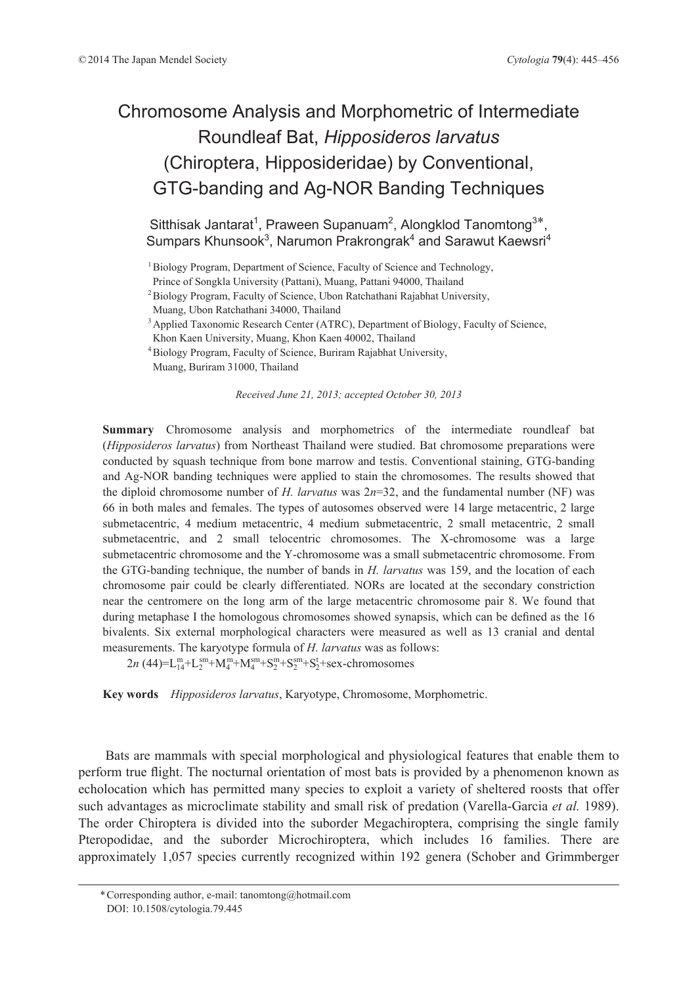# Chromosome Analysis and Morphometric of Intermediate Roundleaf Bat, *Hipposideros larvatus* (Chiroptera, Hipposideridae) by Conventional, GTG-banding and Ag-NOR Banding Techniques

Sitthisak Jantarat<sup>1</sup>, Praween Supanuam<sup>2</sup>, Alongklod Tanomtong<sup>3\*</sup>, Sumpars Khunsook<sup>3</sup>, Narumon Prakrongrak<sup>4</sup> and Sarawut Kaewsri<sup>4</sup>

<sup>1</sup> Biology Program, Department of Science, Faculty of Science and Technology,

<sup>2</sup> Biology Program, Faculty of Science, Ubon Ratchathani Rajabhat University,

Muang, Ubon Ratchathani 34000, Thailand

<sup>3</sup> Applied Taxonomic Research Center (ATRC), Department of Biology, Faculty of Science,

Khon Kaen University, Muang, Khon Kaen 40002, Thailand

4 Biology Program, Faculty of Science, Buriram Rajabhat University, Muang, Buriram 31000, Thailand

*Received June 21, 2013; accepted October 30, 2013*

**Summary** Chromosome analysis and morphometrics of the intermediate roundleaf bat (*Hipposideros larvatus*) from Northeast Thailand were studied. Bat chromosome preparations were conducted by squash technique from bone marrow and testis. Conventional staining, GTG-banding and Ag-NOR banding techniques were applied to stain the chromosomes. The results showed that the diploid chromosome number of *H. larvatus* was  $2n=32$ , and the fundamental number (NF) was 66 in both males and females. The types of autosomes observed were 14 large metacentric, 2 large submetacentric, 4 medium metacentric, 4 medium submetacentric, 2 small metacentric, 2 small submetacentric, and 2 small telocentric chromosomes. The X-chromosome was a large submetacentric chromosome and the Y-chromosome was a small submetacentric chromosome. From the GTG-banding technique, the number of bands in *H. larvatus* was 159, and the location of each chromosome pair could be clearly differentiated. NORs are located at the secondary constriction near the centromere on the long arm of the large metacentric chromosome pair 8. We found that during metaphase I the homologous chromosomes showed synapsis, which can be defined as the 16 bivalents. Six external morphological characters were measured as well as 13 cranial and dental measurements. The karyotype formula of *H. larvatus* was as follows:

 $2n$  (44)=L<sup>m</sup><sub>1</sub>+L<sub>2</sub><sup>m</sup>+M<sub>4</sub><sup>m</sup>+M<sub>4</sub><sup>m</sup>+S<sub>2</sub><sup>m</sup>+S<sub>2</sub><sup>m</sup>+S<sub>2</sub><sup>+</sup>Sex-chromosomes

**Key words** *Hipposideros larvatus*, Karyotype, Chromosome, Morphometric.

Bats are mammals with special morphological and physiological features that enable them to perform true flight. The nocturnal orientation of most bats is provided by a phenomenon known as echolocation which has permitted many species to exploit a variety of sheltered roosts that offer such advantages as microclimate stability and small risk of predation (Varella-Garcia *et al.* 1989). The order Chiroptera is divided into the suborder Megachiroptera, comprising the single family Pteropodidae, and the suborder Microchiroptera, which includes 16 families. There are approximately 1,057 species currently recognized within 192 genera (Schober and Grimmberger

Prince of Songkla University (Pattani), Muang, Pattani 94000, Thailand

<sup>\*</sup> Corresponding author, e-mail: tanomtong@hotmail.com DOI: 10.1508/cytologia.79.445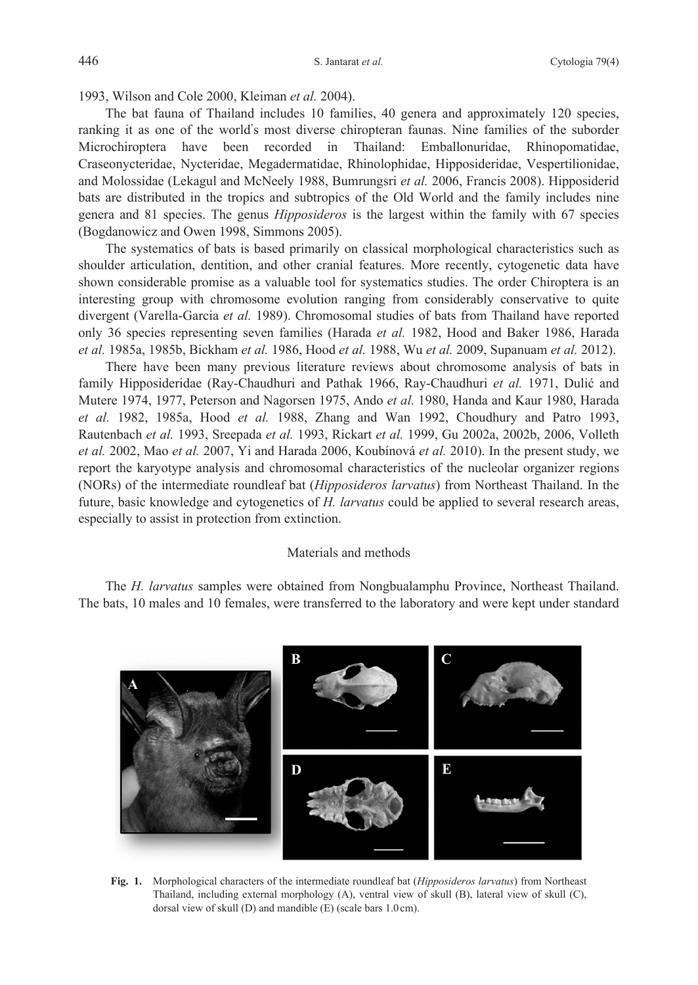1993, Wilson and Cole 2000, Kleiman *et al.* 2004).

The bat fauna of Thailand includes 10 families, 40 genera and approximately 120 species, ranking it as one of the world's most diverse chiropteran faunas. Nine families of the suborder Microchiroptera have been recorded in Thailand: Emballonuridae, Rhinopomatidae, Craseonycteridae, Nycteridae, Megadermatidae, Rhinolophidae, Hipposideridae, Vespertilionidae, and Molossidae (Lekagul and McNeely 1988, Bumrungsri *et al.* 2006, Francis 2008). Hipposiderid bats are distributed in the tropics and subtropics of the Old World and the family includes nine genera and 81 species. The genus *Hipposideros* is the largest within the family with 67 species (Bogdanowicz and Owen 1998, Simmons 2005).

The systematics of bats is based primarily on classical morphological characteristics such as shoulder articulation, dentition, and other cranial features. More recently, cytogenetic data have shown considerable promise as a valuable tool for systematics studies. The order Chiroptera is an interesting group with chromosome evolution ranging from considerably conservative to quite divergent (Varella-Garcia *et al.* 1989). Chromosomal studies of bats from Thailand have reported only 36 species representing seven families (Harada *et al.* 1982, Hood and Baker 1986, Harada *et al.* 1985a, 1985b, Bickham *et al.* 1986, Hood *et al.* 1988, Wu *et al.* 2009, Supanuam *et al.* 2012).

There have been many previous literature reviews about chromosome analysis of bats in family Hipposideridae (Ray-Chaudhuri and Pathak 1966, Ray-Chaudhuri *et al.* 1971, Dulić and Mutere 1974, 1977, Peterson and Nagorsen 1975, Ando *et al.* 1980, Handa and Kaur 1980, Harada *et al.* 1982, 1985a, Hood *et al.* 1988, Zhang and Wan 1992, Choudhury and Patro 1993, Rautenbach *et al.* 1993, Sreepada *et al.* 1993, Rickart *et al.* 1999, Gu 2002a, 2002b, 2006, Volleth *et al.* 2002, Mao *et al.* 2007, Yi and Harada 2006, Koubínová *et al.* 2010). In the present study, we report the karyotype analysis and chromosomal characteristics of the nucleolar organizer regions (NORs) of the intermediate roundleaf bat (*Hipposideros larvatus*) from Northeast Thailand. In the future, basic knowledge and cytogenetics of *H. larvatus* could be applied to several research areas, especially to assist in protection from extinction.

## Materials and methods

The *H. larvatus* samples were obtained from Nongbualamphu Province, Northeast Thailand. The bats, 10 males and 10 females, were transferred to the laboratory and were kept under standard



**Fig. 1.** Morphological characters of the intermediate roundleaf bat (*Hipposideros larvatus*) from Northeast Thailand, including external morphology (A), ventral view of skull (B), lateral view of skull (C), dorsal view of skull (D) and mandible (E) (scale bars 1.0 cm).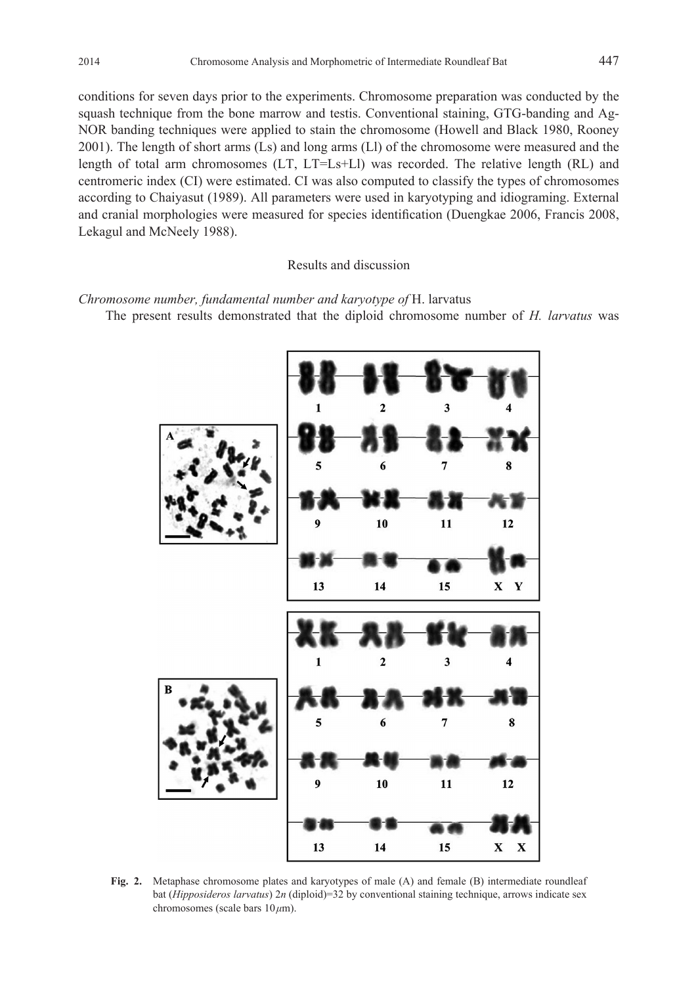conditions for seven days prior to the experiments. Chromosome preparation was conducted by the squash technique from the bone marrow and testis. Conventional staining, GTG-banding and Ag-NOR banding techniques were applied to stain the chromosome (Howell and Black 1980, Rooney 2001). The length of short arms (Ls) and long arms (Ll) of the chromosome were measured and the length of total arm chromosomes (LT, LT=Ls+Ll) was recorded. The relative length (RL) and centromeric index (CI) were estimated. CI was also computed to classify the types of chromosomes according to Chaiyasut (1989). All parameters were used in karyotyping and idiograming. External and cranial morphologies were measured for species identification (Duengkae 2006, Francis 2008, Lekagul and McNeely 1988).

Results and discussion

*Chromosome number, fundamental number and karyotype of* H. larvatus

The present results demonstrated that the diploid chromosome number of *H. larvatus* was



**Fig. 2.** Metaphase chromosome plates and karyotypes of male (A) and female (B) intermediate roundleaf bat (*Hipposideros larvatus*) 2*n* (diploid)=32 by conventional staining technique, arrows indicate sex chromosomes (scale bars 10 *μ*m).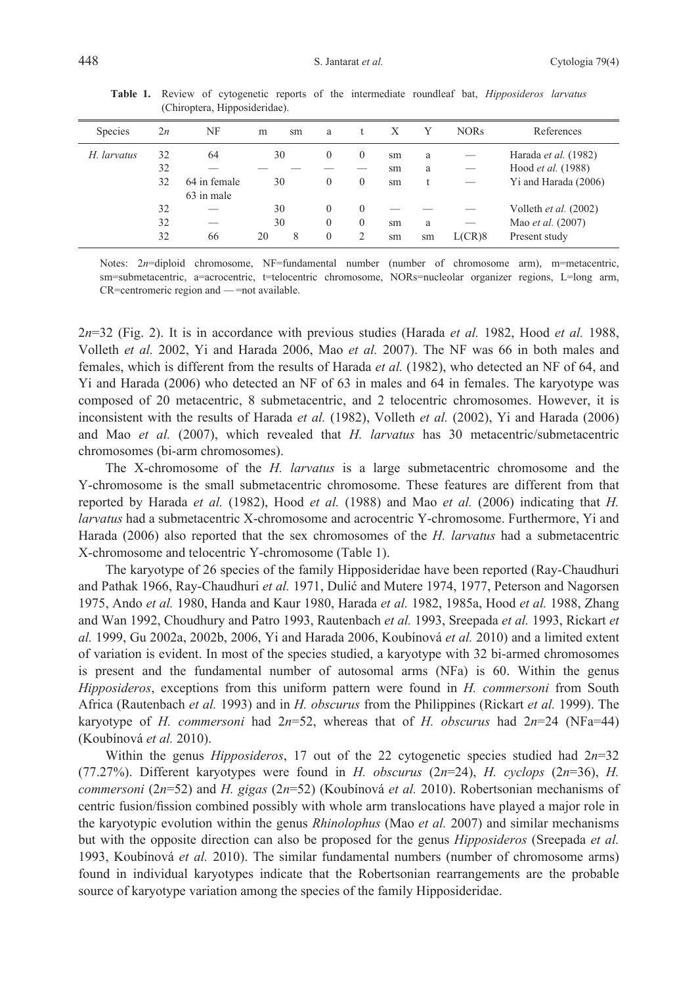| <b>Species</b> | 2n | NF           | m  | sm | a        |          |    |    | <b>NORs</b> | References            |
|----------------|----|--------------|----|----|----------|----------|----|----|-------------|-----------------------|
| H. larvatus    | 32 | 64           | 30 |    | $\Omega$ | $\theta$ | sm | a  |             | Harada et al. (1982)  |
|                | 32 |              |    |    |          |          | sm | a  |             | Hood et al. (1988)    |
|                | 32 | 64 in female | 30 |    | $\theta$ | $\theta$ | sm |    |             | Yi and Harada (2006)  |
|                |    | 63 in male   |    |    |          |          |    |    |             |                       |
|                | 32 |              | 30 |    | $\theta$ | $\theta$ |    |    |             | Volleth et al. (2002) |
|                | 32 |              | 30 |    | $\theta$ | $\Omega$ | sm | a  |             | Mao et al. (2007)     |
|                | 32 | 66           | 20 | 8  | $\theta$ |          | sm | sm | L(CR)8      | Present study         |
|                |    |              |    |    |          |          |    |    |             |                       |

**Table 1.** Review of cytogenetic reports of the intermediate roundleaf bat, *Hipposideros larvatus* (Chiroptera, Hipposideridae).

Notes: 2*n*=diploid chromosome, NF=fundamental number (number of chromosome arm), m=metacentric, sm=submetacentric, a=acrocentric, t=telocentric chromosome, NORs=nucleolar organizer regions, L=long arm, CR=centromeric region and ̶=not available.

2*n*=32 (Fig. 2). It is in accordance with previous studies (Harada *et al.* 1982, Hood *et al.* 1988, Volleth *et al.* 2002, Yi and Harada 2006, Mao *et al.* 2007). The NF was 66 in both males and females, which is different from the results of Harada *et al.* (1982), who detected an NF of 64, and Yi and Harada (2006) who detected an NF of 63 in males and 64 in females. The karyotype was composed of 20 metacentric, 8 submetacentric, and 2 telocentric chromosomes. However, it is inconsistent with the results of Harada *et al.* (1982), Volleth *et al.* (2002), Yi and Harada (2006) and Mao *et al.* (2007), which revealed that *H. larvatus* has 30 metacentric/submetacentric chromosomes (bi-arm chromosomes).

The X-chromosome of the *H. larvatus* is a large submetacentric chromosome and the Y-chromosome is the small submetacentric chromosome. These features are different from that reported by Harada *et al.* (1982), Hood *et al.* (1988) and Mao *et al.* (2006) indicating that *H. larvatus* had a submetacentric X-chromosome and acrocentric Y-chromosome. Furthermore, Yi and Harada (2006) also reported that the sex chromosomes of the *H. larvatus* had a submetacentric X-chromosome and telocentric Y-chromosome (Table 1).

The karyotype of 26 species of the family Hipposideridae have been reported (Ray-Chaudhuri and Pathak 1966, Ray-Chaudhuri *et al.* 1971, Dulić and Mutere 1974, 1977, Peterson and Nagorsen 1975, Ando *et al.* 1980, Handa and Kaur 1980, Harada *et al.* 1982, 1985a, Hood *et al.* 1988, Zhang and Wan 1992, Choudhury and Patro 1993, Rautenbach *et al.* 1993, Sreepada *et al.* 1993, Rickart *et al.* 1999, Gu 2002a, 2002b, 2006, Yi and Harada 2006, Koubínová *et al.* 2010) and a limited extent of variation is evident. In most of the species studied, a karyotype with 32 bi-armed chromosomes is present and the fundamental number of autosomal arms (NFa) is 60. Within the genus *Hipposideros*, exceptions from this uniform pattern were found in *H. commersoni* from South Africa (Rautenbach *et al.* 1993) and in *H. obscurus* from the Philippines (Rickart *et al.* 1999). The karyotype of *H. commersoni* had  $2n=52$ , whereas that of *H. obscurus* had  $2n=24$  (NFa=44) (Koubínová *et al.* 2010).

Within the genus *Hipposideros*, 17 out of the 22 cytogenetic species studied had 2*n*=32 (77.27%). Different karyotypes were found in *H. obscurus* (2*n*=24), *H. cyclops* (2*n*=36), *H. commersoni* (2*n*=52) and *H. gigas* (2*n*=52) (Koubínová *et al.* 2010). Robertsonian mechanisms of centric fusion/fission combined possibly with whole arm translocations have played a major role in the karyotypic evolution within the genus *Rhinolophus* (Mao *et al.* 2007) and similar mechanisms but with the opposite direction can also be proposed for the genus *Hipposideros* (Sreepada *et al.* 1993, Koubínová *et al.* 2010). The similar fundamental numbers (number of chromosome arms) found in individual karyotypes indicate that the Robertsonian rearrangements are the probable source of karyotype variation among the species of the family Hipposideridae.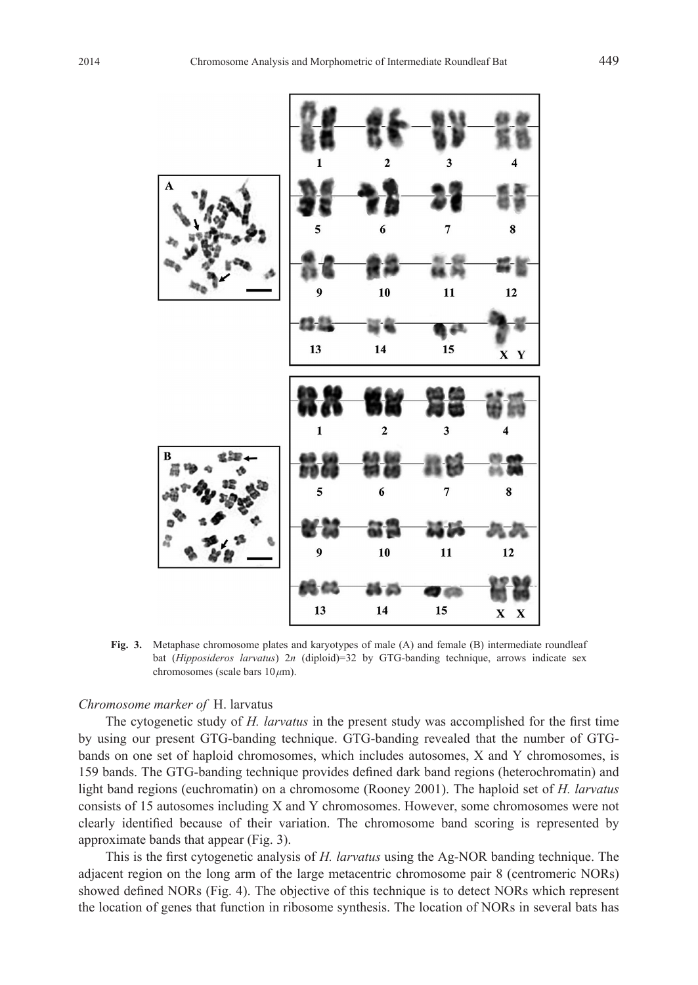

**Fig. 3.** Metaphase chromosome plates and karyotypes of male (A) and female (B) intermediate roundleaf bat (*Hipposideros larvatus*) 2*n* (diploid)=32 by GTG-banding technique, arrows indicate sex chromosomes (scale bars 10 *μ*m).

## *Chromosome marker of* H. larvatus

The cytogenetic study of *H. larvatus* in the present study was accomplished for the first time by using our present GTG-banding technique. GTG-banding revealed that the number of GTGbands on one set of haploid chromosomes, which includes autosomes, X and Y chromosomes, is 159 bands. The GTG-banding technique provides defined dark band regions (heterochromatin) and light band regions (euchromatin) on a chromosome (Rooney 2001). The haploid set of *H. larvatus* consists of 15 autosomes including X and Y chromosomes. However, some chromosomes were not clearly identified because of their variation. The chromosome band scoring is represented by approximate bands that appear (Fig. 3).

This is the first cytogenetic analysis of *H. larvatus* using the Ag-NOR banding technique. The adjacent region on the long arm of the large metacentric chromosome pair 8 (centromeric NORs) showed defined NORs (Fig. 4). The objective of this technique is to detect NORs which represent the location of genes that function in ribosome synthesis. The location of NORs in several bats has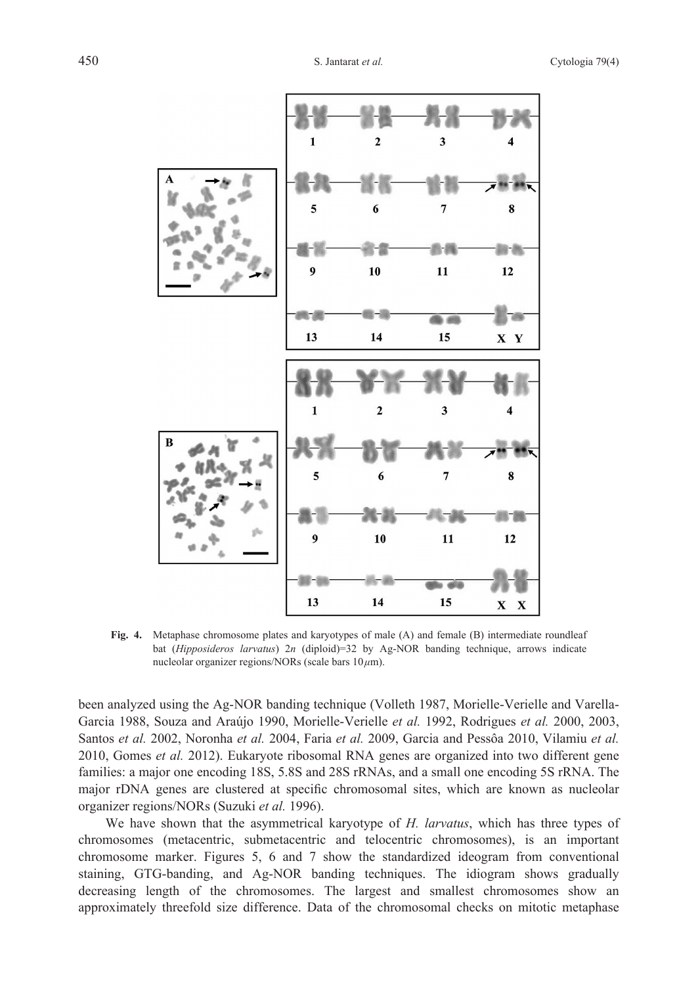

**Fig. 4.** Metaphase chromosome plates and karyotypes of male (A) and female (B) intermediate roundleaf bat (*Hipposideros larvatus*) 2*n* (diploid)=32 by Ag-NOR banding technique, arrows indicate nucleolar organizer regions/NORs (scale bars 10 *μ*m).

been analyzed using the Ag-NOR banding technique (Volleth 1987, Morielle-Verielle and Varella-Garcia 1988, Souza and Araújo 1990, Morielle-Verielle *et al.* 1992, Rodrigues *et al.* 2000, 2003, Santos *et al.* 2002, Noronha *et al.* 2004, Faria *et al.* 2009, Garcia and Pessôa 2010, Vilamiu *et al.* 2010, Gomes *et al.* 2012). Eukaryote ribosomal RNA genes are organized into two different gene families: a major one encoding 18S, 5.8S and 28S rRNAs, and a small one encoding 5S rRNA. The major rDNA genes are clustered at specific chromosomal sites, which are known as nucleolar organizer regions/NORs (Suzuki *et al.* 1996).

We have shown that the asymmetrical karyotype of *H. larvatus*, which has three types of chromosomes (metacentric, submetacentric and telocentric chromosomes), is an important chromosome marker. Figures 5, 6 and 7 show the standardized ideogram from conventional staining, GTG-banding, and Ag-NOR banding techniques. The idiogram shows gradually decreasing length of the chromosomes. The largest and smallest chromosomes show an approximately threefold size difference. Data of the chromosomal checks on mitotic metaphase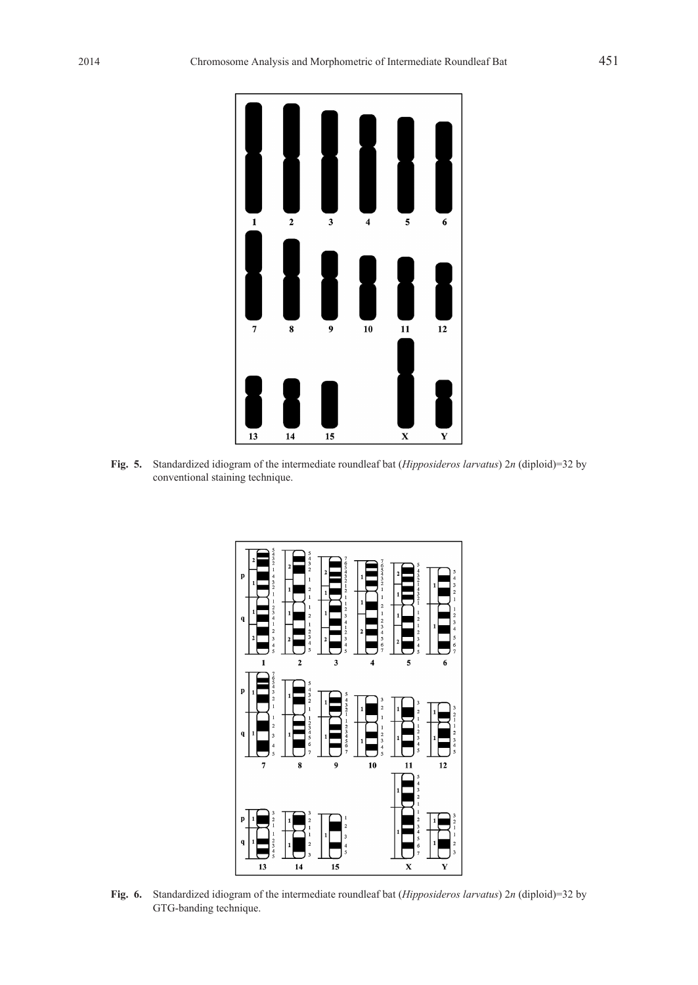

**Fig. 5.** Standardized idiogram of the intermediate roundleaf bat (*Hipposideros larvatus*) 2*n* (diploid)=32 by conventional staining technique.



**Fig. 6.** Standardized idiogram of the intermediate roundleaf bat (*Hipposideros larvatus*) 2*n* (diploid)=32 by GTG-banding technique.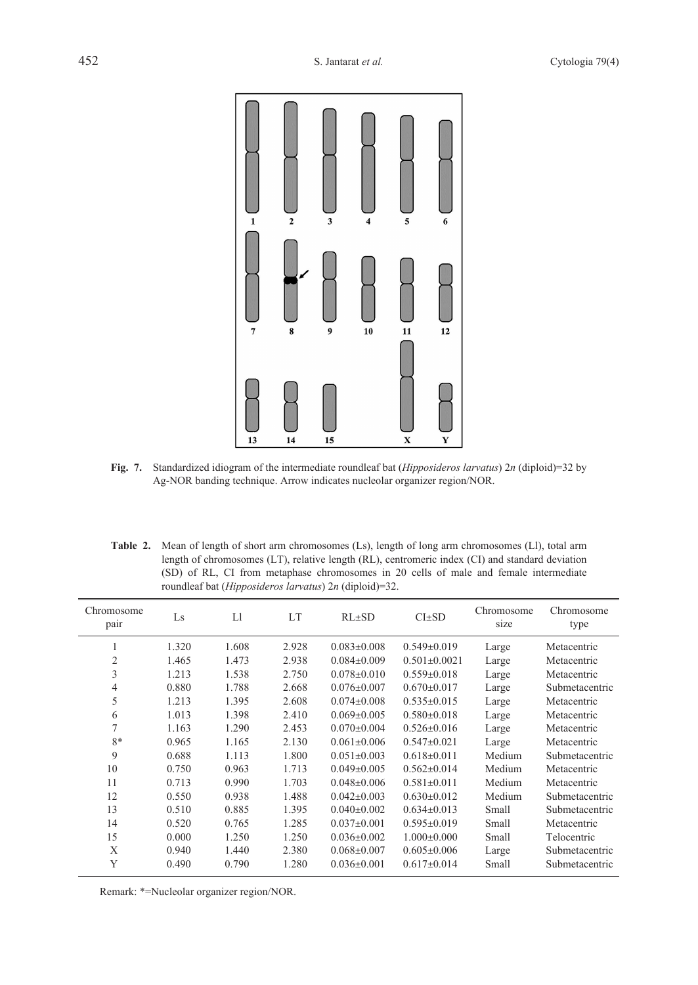

- **Fig. 7.** Standardized idiogram of the intermediate roundleaf bat (*Hipposideros larvatus*) 2*n* (diploid)=32 by Ag-NOR banding technique. Arrow indicates nucleolar organizer region/NOR.
- Table 2. Mean of length of short arm chromosomes (Ls), length of long arm chromosomes (Ll), total arm length of chromosomes (LT), relative length (RL), centromeric index (CI) and standard deviation (SD) of RL, CI from metaphase chromosomes in 20 cells of male and female intermediate roundleaf bat (*Hipposideros larvatus*) 2*n* (diploid)=32.

| Chromosome<br>pair | Ls    | L1    | LT    | $RL{\pm}SD$       | $CI \pm SD$        | Chromosome<br>size | Chromosome<br>type |
|--------------------|-------|-------|-------|-------------------|--------------------|--------------------|--------------------|
| 1                  | 1.320 | 1.608 | 2.928 | $0.083 \pm 0.008$ | $0.549 \pm 0.019$  | Large              | Metacentric        |
| $\overline{2}$     | 1.465 | 1.473 | 2.938 | $0.084 \pm 0.009$ | $0.501 \pm 0.0021$ | Large              | Metacentric        |
| 3                  | 1.213 | 1.538 | 2.750 | $0.078 \pm 0.010$ | $0.559 \pm 0.018$  | Large              | Metacentric        |
| 4                  | 0.880 | 1.788 | 2.668 | $0.076 \pm 0.007$ | $0.670 \pm 0.017$  | Large              | Submetacentric     |
| 5                  | 1.213 | 1.395 | 2.608 | $0.074 \pm 0.008$ | $0.535 \pm 0.015$  | Large              | Metacentric        |
| 6                  | 1.013 | 1.398 | 2.410 | $0.069 \pm 0.005$ | $0.580 \pm 0.018$  | Large              | Metacentric        |
| $\overline{7}$     | 1.163 | 1.290 | 2.453 | $0.070 \pm 0.004$ | $0.526 \pm 0.016$  | Large              | Metacentric        |
| $8*$               | 0.965 | 1.165 | 2.130 | $0.061 \pm 0.006$ | $0.547 \pm 0.021$  | Large              | Metacentric        |
| 9                  | 0.688 | 1.113 | 1.800 | $0.051 \pm 0.003$ | $0.618 \pm 0.011$  | Medium             | Submetacentric     |
| 10                 | 0.750 | 0.963 | 1.713 | $0.049 \pm 0.005$ | $0.562 \pm 0.014$  | Medium             | Metacentric        |
| 11                 | 0.713 | 0.990 | 1.703 | $0.048 \pm 0.006$ | $0.581 \pm 0.011$  | Medium             | Metacentric        |
| 12                 | 0.550 | 0.938 | 1.488 | $0.042 \pm 0.003$ | $0.630\pm0.012$    | Medium             | Submetacentric     |
| 13                 | 0.510 | 0.885 | 1.395 | $0.040 \pm 0.002$ | $0.634\pm0.013$    | Small              | Submetacentric     |
| 14                 | 0.520 | 0.765 | 1.285 | $0.037 \pm 0.001$ | $0.595 \pm 0.019$  | Small              | Metacentric        |
| 15                 | 0.000 | 1.250 | 1.250 | $0.036 \pm 0.002$ | $1.000 \pm 0.000$  | Small              | Telocentric        |
| X                  | 0.940 | 1.440 | 2.380 | $0.068 \pm 0.007$ | $0.605 \pm 0.006$  | Large              | Submetacentric     |
| Y                  | 0.490 | 0.790 | 1.280 | $0.036 \pm 0.001$ | $0.617 \pm 0.014$  | Small              | Submetacentric     |

Remark: \*=Nucleolar organizer region/NOR.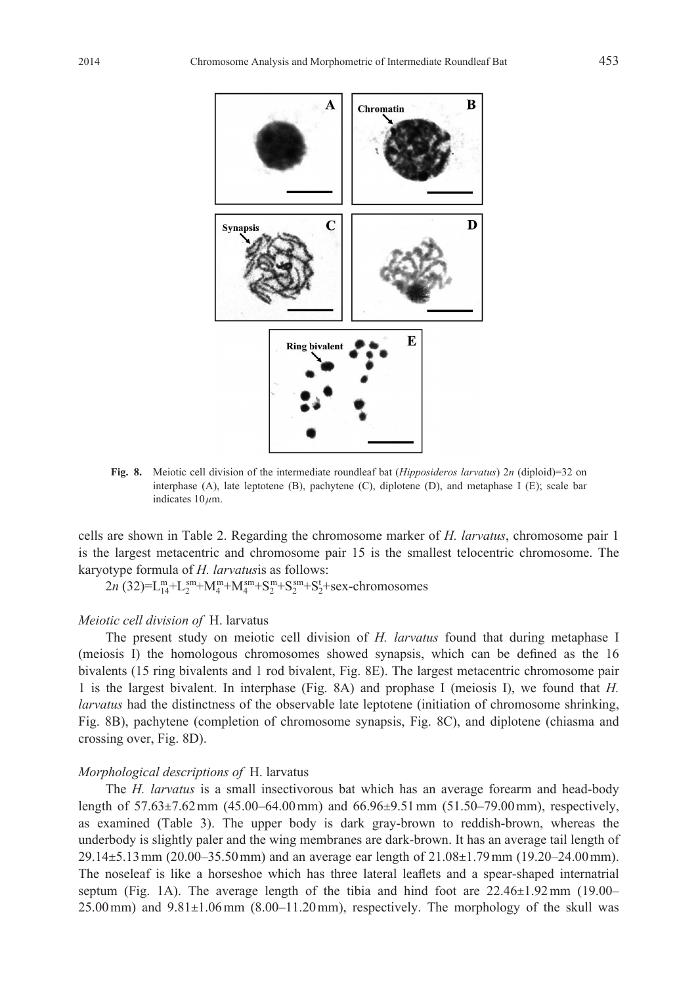Chromatin

 $\mathbf{A}$ 





**Fig. 8.** Meiotic cell division of the intermediate roundleaf bat (*Hipposideros larvatus*) 2*n* (diploid)=32 on interphase (A), late leptotene (B), pachytene (C), diplotene (D), and metaphase I (E); scale bar indicates 10 *μ*m.

cells are shown in Table 2. Regarding the chromosome marker of *H. larvatus*, chromosome pair 1 is the largest metacentric and chromosome pair 15 is the smallest telocentric chromosome. The karyotype formula of *H. larvatus*is as follows:

 $2n$  (32)=L<sup>m</sup><sub>1</sub>+L<sub>2</sub><sup>m</sup>+M<sub>4</sub><sup>m</sup>+M<sub>4</sub><sup>m</sup>+S<sub>2</sub><sup>m</sup>+S<sub>2</sub><sup>m</sup>+S<sup>4</sup><sub>2</sub>+sex-chromosomes

# *Meiotic cell division of* H. larvatus

The present study on meiotic cell division of *H. larvatus* found that during metaphase I (meiosis I) the homologous chromosomes showed synapsis, which can be defined as the 16 bivalents (15 ring bivalents and 1 rod bivalent, Fig. 8E). The largest metacentric chromosome pair 1 is the largest bivalent. In interphase (Fig. 8A) and prophase I (meiosis I), we found that *H. larvatus* had the distinctness of the observable late leptotene (initiation of chromosome shrinking, Fig. 8B), pachytene (completion of chromosome synapsis, Fig. 8C), and diplotene (chiasma and crossing over, Fig. 8D).

# *Morphological descriptions of* H. larvatus

The *H. larvatus* is a small insectivorous bat which has an average forearm and head-body length of 57.63±7.62 mm (45.00–64.00 mm) and 66.96±9.51 mm (51.50–79.00 mm), respectively, as examined (Table 3). The upper body is dark gray-brown to reddish-brown, whereas the underbody is slightly paler and the wing membranes are dark-brown. It has an average tail length of 29.14±5.13 mm (20.00–35.50 mm) and an average ear length of 21.08±1.79 mm (19.20–24.00 mm). The noseleaf is like a horseshoe which has three lateral leaflets and a spear-shaped internatrial septum (Fig. 1A). The average length of the tibia and hind foot are 22.46±1.92 mm (19.00–  $25.00 \,\mathrm{mm}$ ) and  $9.81\pm1.06 \,\mathrm{mm}$  (8.00–11.20 mm), respectively. The morphology of the skull was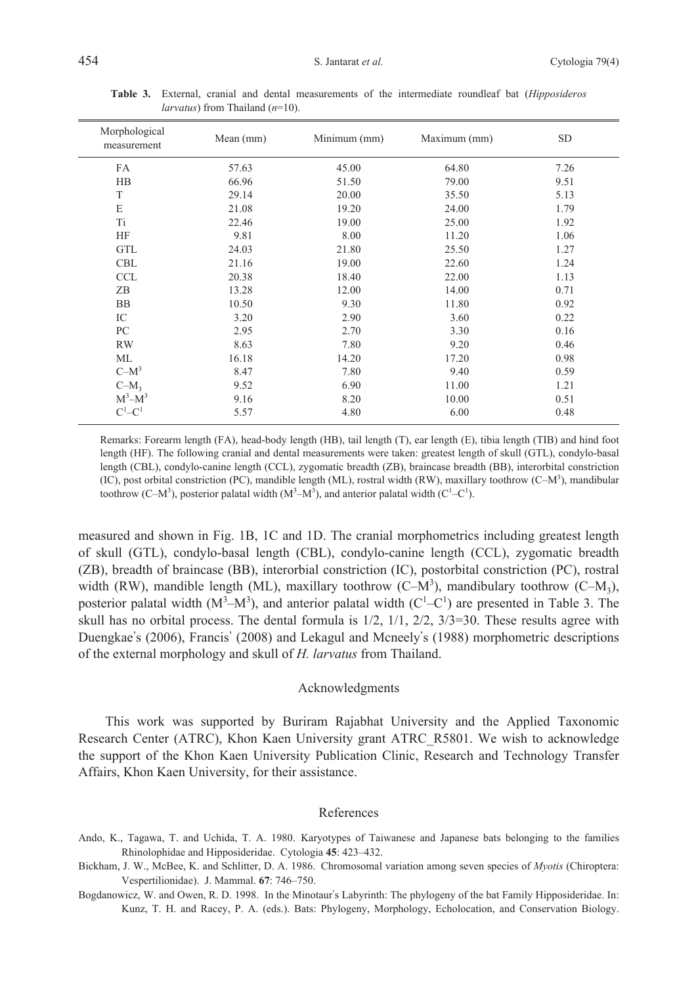| Morphological<br>measurement | Mean (mm) | Minimum (mm) | Maximum (mm) | <b>SD</b> |
|------------------------------|-----------|--------------|--------------|-----------|
| FA                           | 57.63     | 45.00        | 64.80        | 7.26      |
| HB                           | 66.96     | 51.50        | 79.00        | 9.51      |
| T                            | 29.14     | 20.00        | 35.50        | 5.13      |
| E                            | 21.08     | 19.20        | 24.00        | 1.79      |
| Ti                           | 22.46     | 19.00        | 25.00        | 1.92      |
| HF                           | 9.81      | 8.00         | 11.20        | 1.06      |
| <b>GTL</b>                   | 24.03     | 21.80        | 25.50        | 1.27      |
| <b>CBL</b>                   | 21.16     | 19.00        | 22.60        | 1.24      |
| <b>CCL</b>                   | 20.38     | 18.40        | 22.00        | 1.13      |
| ZB                           | 13.28     | 12.00        | 14.00        | 0.71      |
| <b>BB</b>                    | 10.50     | 9.30         | 11.80        | 0.92      |
| IC                           | 3.20      | 2.90         | 3.60         | 0.22      |
| PC                           | 2.95      | 2.70         | 3.30         | 0.16      |
| <b>RW</b>                    | 8.63      | 7.80         | 9.20         | 0.46      |
| ML                           | 16.18     | 14.20        | 17.20        | 0.98      |
| $C-M^3$                      | 8.47      | 7.80         | 9.40         | 0.59      |
| $C-M_3$                      | 9.52      | 6.90         | 11.00        | 1.21      |
| $M^3 - M^3$                  | 9.16      | 8.20         | 10.00        | 0.51      |
| $C^1$ – $C^1$                | 5.57      | 4.80         | 6.00         | 0.48      |

**Table 3.** External, cranial and dental measurements of the intermediate roundleaf bat (*Hipposideros larvatus*) from Thailand (*n*=10).

Remarks: Forearm length (FA), head-body length (HB), tail length (T), ear length (E), tibia length (TIB) and hind foot length (HF). The following cranial and dental measurements were taken: greatest length of skull (GTL), condylo-basal length (CBL), condylo-canine length (CCL), zygomatic breadth (ZB), braincase breadth (BB), interorbital constriction (IC), post orbital constriction (PC), mandible length (ML), rostral width (RW), maxillary toothrow (C-M<sup>3</sup>), mandibular toothrow (C–M<sup>3</sup>), posterior palatal width  $(M^3-M^3)$ , and anterior palatal width (C<sup>1</sup>–C<sup>1</sup>).

measured and shown in Fig. 1B, 1C and 1D. The cranial morphometrics including greatest length of skull (GTL), condylo-basal length (CBL), condylo-canine length (CCL), zygomatic breadth (ZB), breadth of braincase (BB), interorbial constriction (IC), postorbital constriction (PC), rostral width (RW), mandible length (ML), maxillary toothrow (C–M<sup>3</sup>), mandibulary toothrow (C–M<sub>3</sub>), posterior palatal width  $(M<sup>3</sup>-M<sup>3</sup>)$ , and anterior palatal width  $(C<sup>1</sup>-C<sup>1</sup>)$  are presented in Table 3. The skull has no orbital process. The dental formula is  $1/2$ ,  $1/1$ ,  $2/2$ ,  $3/3=30$ . These results agree with Duengkae's (2006), Francis' (2008) and Lekagul and Mcneely's (1988) morphometric descriptions of the external morphology and skull of *H. larvatus* from Thailand.

## Acknowledgments

This work was supported by Buriram Rajabhat University and the Applied Taxonomic Research Center (ATRC), Khon Kaen University grant ATRC\_R5801. We wish to acknowledge the support of the Khon Kaen University Publication Clinic, Research and Technology Transfer Affairs, Khon Kaen University, for their assistance.

#### References

- Ando, K., Tagawa, T. and Uchida, T. A. 1980. Karyotypes of Taiwanese and Japanese bats belonging to the families Rhinolophidae and Hipposideridae. Cytologia **45**: 423–432.
- Bickham, J. W., McBee, K. and Schlitter, D. A. 1986. Chromosomal variation among seven species of *Myotis* (Chiroptera: Vespertilionidae). J. Mammal. **67**: 746–750.
- Bogdanowicz, W. and Owen, R. D. 1998. In the Minotaur's Labyrinth: The phylogeny of the bat Family Hipposideridae. In: Kunz, T. H. and Racey, P. A. (eds.). Bats: Phylogeny, Morphology, Echolocation, and Conservation Biology.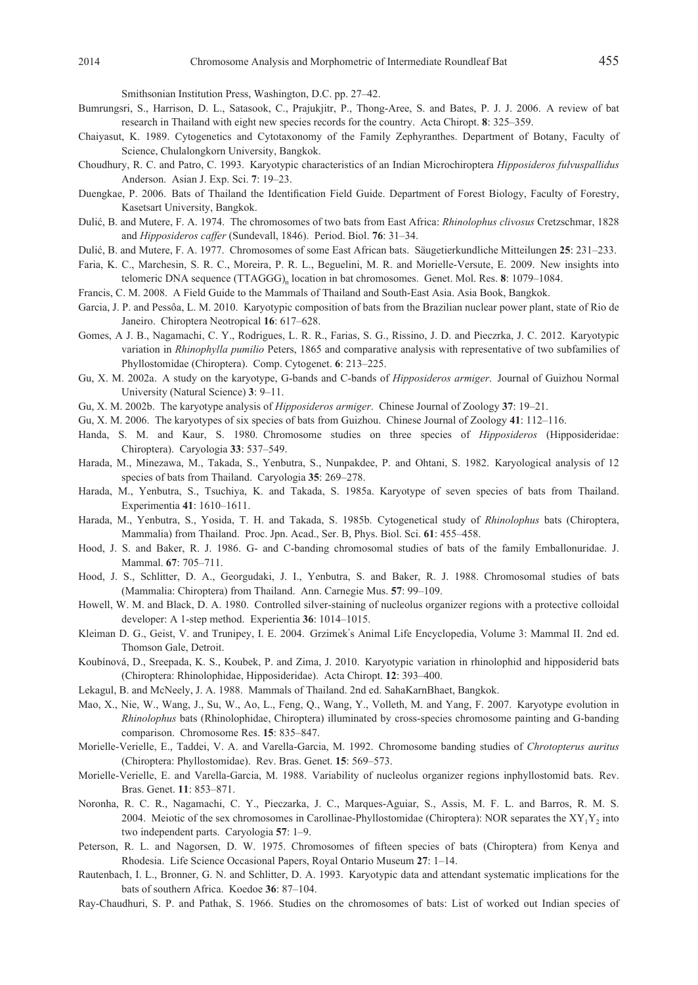Smithsonian Institution Press, Washington, D.C. pp. 27–42.

- Bumrungsri, S., Harrison, D. L., Satasook, C., Prajukjitr, P., Thong-Aree, S. and Bates, P. J. J. 2006. A review of bat research in Thailand with eight new species records for the country. Acta Chiropt. **8**: 325–359.
- Chaiyasut, K. 1989. Cytogenetics and Cytotaxonomy of the Family Zephyranthes. Department of Botany, Faculty of Science, Chulalongkorn University, Bangkok.
- Choudhury, R. C. and Patro, C. 1993. Karyotypic characteristics of an Indian Microchiroptera *Hipposideros fulvuspallidus* Anderson. Asian J. Exp. Sci. **7**: 19–23.
- Duengkae, P. 2006. Bats of Thailand the Identification Field Guide. Department of Forest Biology, Faculty of Forestry, Kasetsart University, Bangkok.
- Dulić, B. and Mutere, F. A. 1974. The chromosomes of two bats from East Africa: *Rhinolophus clivosus* Cretzschmar, 1828 and *Hipposideros caffer* (Sundevall, 1846). Period. Biol. **76**: 31–34.
- Dulić, B. and Mutere, F. A. 1977. Chromosomes of some East African bats. Säugetierkundliche Mitteilungen **25**: 231–233.
- Faria, K. C., Marchesin, S. R. C., Moreira, P. R. L., Beguelini, M. R. and Morielle-Versute, E. 2009. New insights into telomeric DNA sequence (TTAGGG)<sub>n</sub> location in bat chromosomes. Genet. Mol. Res. 8: 1079–1084.
- Francis, C. M. 2008. A Field Guide to the Mammals of Thailand and South-East Asia. Asia Book, Bangkok.
- Garcia, J. P. and Pessôa, L. M. 2010. Karyotypic composition of bats from the Brazilian nuclear power plant, state of Rio de Janeiro. Chiroptera Neotropical **16**: 617–628.
- Gomes, A J. B., Nagamachi, C. Y., Rodrigues, L. R. R., Farias, S. G., Rissino, J. D. and Pieczrka, J. C. 2012. Karyotypic variation in *Rhinophylla pumilio* Peters, 1865 and comparative analysis with representative of two subfamilies of Phyllostomidae (Chiroptera). Comp. Cytogenet. **6**: 213–225.
- Gu, X. M. 2002a. A study on the karyotype, G-bands and C-bands of *Hipposideros armiger*. Journal of Guizhou Normal University (Natural Science) **3**: 9–11.
- Gu, X. M. 2002b. The karyotype analysis of *Hipposideros armiger*. Chinese Journal of Zoology **37**: 19–21.
- Gu, X. M. 2006. The karyotypes of six species of bats from Guizhou. Chinese Journal of Zoology **41**: 112–116.
- Handa, S. M. and Kaur, S. 1980. Chromosome studies on three species of *Hipposideros* (Hipposideridae: Chiroptera). Caryologia **33**: 537–549.
- Harada, M., Minezawa, M., Takada, S., Yenbutra, S., Nunpakdee, P. and Ohtani, S. 1982. Karyological analysis of 12 species of bats from Thailand. Caryologia **35**: 269–278.
- Harada, M., Yenbutra, S., Tsuchiya, K. and Takada, S. 1985a. Karyotype of seven species of bats from Thailand. Experimentia **41**: 1610–1611.
- Harada, M., Yenbutra, S., Yosida, T. H. and Takada, S. 1985b. Cytogenetical study of *Rhinolophus* bats (Chiroptera, Mammalia) from Thailand. Proc. Jpn. Acad., Ser. B, Phys. Biol. Sci. **61**: 455–458.
- Hood, J. S. and Baker, R. J. 1986. G- and C-banding chromosomal studies of bats of the family Emballonuridae. J. Mammal. **67**: 705–711.
- Hood, J. S., Schlitter, D. A., Georgudaki, J. I., Yenbutra, S. and Baker, R. J. 1988. Chromosomal studies of bats (Mammalia: Chiroptera) from Thailand. Ann. Carnegie Mus. **57**: 99–109.
- Howell, W. M. and Black, D. A. 1980. Controlled silver-staining of nucleolus organizer regions with a protective colloidal developer: A 1-step method. Experientia **36**: 1014–1015.
- Kleiman D. G., Geist, V. and Trunipey, I. E. 2004. Grzimek's Animal Life Encyclopedia, Volume 3: Mammal II. 2nd ed. Thomson Gale, Detroit.
- Koubínová, D., Sreepada, K. S., Koubek, P. and Zima, J. 2010. Karyotypic variation in rhinolophid and hipposiderid bats (Chiroptera: Rhinolophidae, Hipposideridae). Acta Chiropt. **12**: 393–400.
- Lekagul, B. and McNeely, J. A. 1988. Mammals of Thailand. 2nd ed. SahaKarnBhaet, Bangkok.
- Mao, X., Nie, W., Wang, J., Su, W., Ao, L., Feng, Q., Wang, Y., Volleth, M. and Yang, F. 2007. Karyotype evolution in *Rhinolophus* bats (Rhinolophidae, Chiroptera) illuminated by cross-species chromosome painting and G-banding comparison. Chromosome Res. **15**: 835–847.
- Morielle-Verielle, E., Taddei, V. A. and Varella-Garcia, M. 1992. Chromosome banding studies of *Chrotopterus auritus* (Chiroptera: Phyllostomidae). Rev. Bras. Genet. **15**: 569–573.
- Morielle-Verielle, E. and Varella-Garcia, M. 1988. Variability of nucleolus organizer regions inphyllostomid bats. Rev. Bras. Genet. **11**: 853–871.
- Noronha, R. C. R., Nagamachi, C. Y., Pieczarka, J. C., Marques-Aguiar, S., Assis, M. F. L. and Barros, R. M. S. 2004. Meiotic of the sex chromosomes in Carollinae-Phyllostomidae (Chiroptera): NOR separates the  $XY_1Y_2$  into two independent parts. Caryologia **57**: 1–9.
- Peterson, R. L. and Nagorsen, D. W. 1975. Chromosomes of fifteen species of bats (Chiroptera) from Kenya and Rhodesia. Life Science Occasional Papers, Royal Ontario Museum **27**: 1–14.
- Rautenbach, I. L., Bronner, G. N. and Schlitter, D. A. 1993. Karyotypic data and attendant systematic implications for the bats of southern Africa. Koedoe **36**: 87–104.
- Ray-Chaudhuri, S. P. and Pathak, S. 1966. Studies on the chromosomes of bats: List of worked out Indian species of